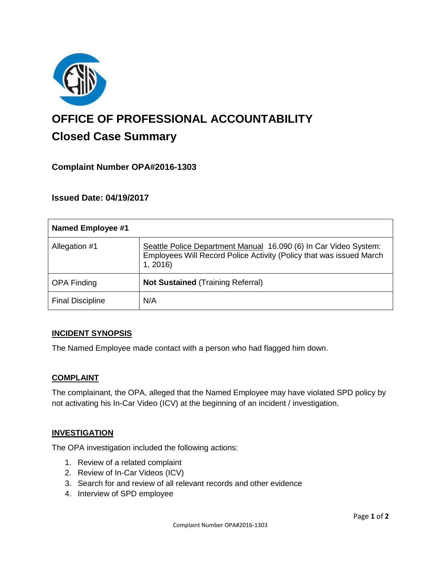

# **OFFICE OF PROFESSIONAL ACCOUNTABILITY Closed Case Summary**

## **Complaint Number OPA#2016-1303**

## **Issued Date: 04/19/2017**

| <b>Named Employee #1</b> |                                                                                                                                                    |
|--------------------------|----------------------------------------------------------------------------------------------------------------------------------------------------|
| Allegation #1            | Seattle Police Department Manual 16.090 (6) In Car Video System:<br>Employees Will Record Police Activity (Policy that was issued March<br>1, 2016 |
| <b>OPA Finding</b>       | <b>Not Sustained (Training Referral)</b>                                                                                                           |
| <b>Final Discipline</b>  | N/A                                                                                                                                                |

### **INCIDENT SYNOPSIS**

The Named Employee made contact with a person who had flagged him down.

### **COMPLAINT**

The complainant, the OPA, alleged that the Named Employee may have violated SPD policy by not activating his In-Car Video (ICV) at the beginning of an incident / investigation.

### **INVESTIGATION**

The OPA investigation included the following actions:

- 1. Review of a related complaint
- 2. Review of In-Car Videos (ICV)
- 3. Search for and review of all relevant records and other evidence
- 4. Interview of SPD employee